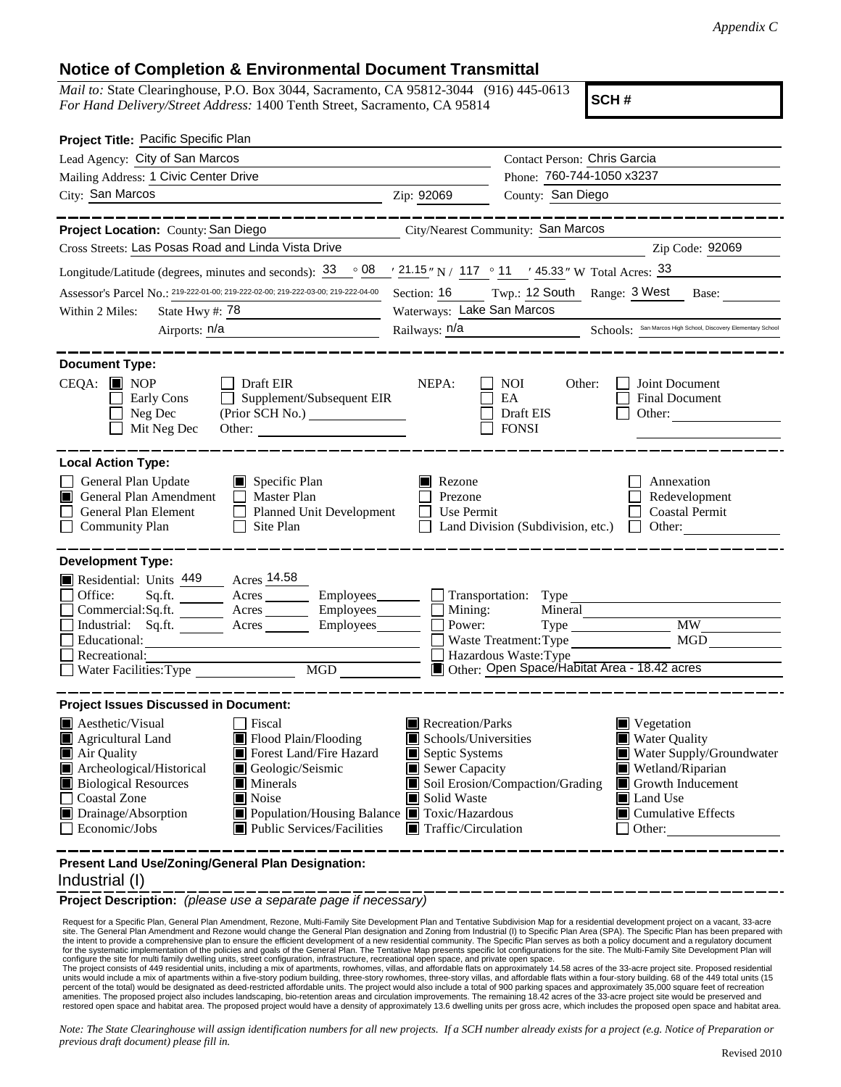## **Notice of Completion & Environmental Document Transmittal**

*Mail to:* State Clearinghouse, P.O. Box 3044, Sacramento, CA 95812-3044 (916) 445-0613 *For Hand Delivery/Street Address:* 1400 Tenth Street, Sacramento, CA 95814

**SCH #**

| Project Title: Pacific Specific Plan                                                                                                                      |                                                                                                                                                                                |                                                                                                                                                                      |                                                                                                                   |                                                                                                |  |  |  |
|-----------------------------------------------------------------------------------------------------------------------------------------------------------|--------------------------------------------------------------------------------------------------------------------------------------------------------------------------------|----------------------------------------------------------------------------------------------------------------------------------------------------------------------|-------------------------------------------------------------------------------------------------------------------|------------------------------------------------------------------------------------------------|--|--|--|
| Lead Agency: City of San Marcos                                                                                                                           |                                                                                                                                                                                |                                                                                                                                                                      | Contact Person: Chris Garcia                                                                                      |                                                                                                |  |  |  |
| Mailing Address: 1 Civic Center Drive                                                                                                                     | Phone: 760-744-1050 x3237                                                                                                                                                      |                                                                                                                                                                      |                                                                                                                   |                                                                                                |  |  |  |
| City: San Marcos                                                                                                                                          | Zip: 92069                                                                                                                                                                     | County: San Diego                                                                                                                                                    |                                                                                                                   |                                                                                                |  |  |  |
|                                                                                                                                                           |                                                                                                                                                                                |                                                                                                                                                                      |                                                                                                                   |                                                                                                |  |  |  |
| Project Location: County: San Diego                                                                                                                       |                                                                                                                                                                                | City/Nearest Community: San Marcos                                                                                                                                   |                                                                                                                   |                                                                                                |  |  |  |
| Cross Streets: Las Posas Road and Linda Vista Drive                                                                                                       |                                                                                                                                                                                |                                                                                                                                                                      |                                                                                                                   | Zip Code: 92069                                                                                |  |  |  |
| Longitude/Latitude (degrees, minutes and seconds): 33                                                                                                     |                                                                                                                                                                                |                                                                                                                                                                      | $\frac{1}{2}$ 08 $\frac{1}{21.15}$ " N / 117 $\degree$ 11 $\degree$ 45.33 " W Total Acres: $\frac{33}{2}$         |                                                                                                |  |  |  |
| Assessor's Parcel No.: 219-222-01-00; 219-222-02-00; 219-222-03-00; 219-222-04-00                                                                         |                                                                                                                                                                                | Twp.: 12 South Range: 3 West<br>Section: 16<br>Base:                                                                                                                 |                                                                                                                   |                                                                                                |  |  |  |
| State Hwy #: 78<br>Within 2 Miles:<br><u> 1980 - John Harry Harry Harry Harry Harry Harry Harry Harry Harry Harry Harry Harry Harry Harry Harry Harry</u> |                                                                                                                                                                                | Waterways: Lake San Marcos                                                                                                                                           |                                                                                                                   |                                                                                                |  |  |  |
| Airports: $n/a$                                                                                                                                           |                                                                                                                                                                                | Railways: n/a Schools: San Marcos High School, Discovery Elementary School                                                                                           |                                                                                                                   |                                                                                                |  |  |  |
| <b>Document Type:</b><br>CEQA: ■ NOP<br>Early Cons<br>Neg Dec<br>Mit Neg Dec                                                                              | Draft EIR<br>Supplement/Subsequent EIR                                                                                                                                         | NEPA:                                                                                                                                                                | <b>NOI</b><br>Other:<br>EA<br>Draft EIS<br><b>FONSI</b>                                                           | Joint Document<br>Final Document<br>Other:                                                     |  |  |  |
| <b>Local Action Type:</b><br>General Plan Update<br>General Plan Amendment<br>IПI<br>General Plan Element<br><b>Community Plan</b>                        | $\Box$ Specific Plan<br>Master Plan<br>$\Box$<br>Planned Unit Development<br>$\mathsf{L}$<br>Site Plan                                                                         | Rezone<br>Prezone<br>Use Permit                                                                                                                                      | Land Division (Subdivision, etc.)                                                                                 | Annexation<br>Redevelopment<br><b>Coastal Permit</b><br>Other:<br>$\mathbf{1}$                 |  |  |  |
| <b>Development Type:</b><br>Residential: Units 449<br>Office:<br>Sq.ft.<br>Commercial: Sq.ft.<br>Educational:<br>Recreational:<br>Water Facilities: Type  | Acres 14.58<br>Acres<br>Acres Employees<br>Industrial: Sq.ft. _______ Acres ________ Employees_______<br>MGD MGD                                                               | Employees__________ Transportation: Type<br>$\Box$ Mining:<br>Power:                                                                                                 | Mineral<br>Type<br>Waste Treatment: Type<br>Hazardous Waste: Type<br>Other: Open Space/Habitat Area - 18.42 acres | <b>MW</b><br>MGD                                                                               |  |  |  |
| <b>Project Issues Discussed in Document:</b><br>$\blacksquare$ Aesthetic/Visual<br>Agricultural Land                                                      | Fiscal<br>Flood Plain/Flooding                                                                                                                                                 | Recreation/Parks<br>Schools/Universities                                                                                                                             |                                                                                                                   | Vegetation<br>Water Quality                                                                    |  |  |  |
| Air Quality<br>Archeological/Historical<br><b>Biological Resources</b><br><b>Coastal Zone</b><br>Drainage/Absorption<br>Economic/Jobs                     | Forest Land/Fire Hazard<br>Geologic/Seismic<br>$\blacksquare$ Minerals<br>Noise<br>■ Population/Housing Balance ■ Toxic/Hazardous<br>$\blacksquare$ Public Services/Facilities | Septic Systems<br>$\blacksquare$ Sewer Capacity<br>Soil Erosion/Compaction/Grading<br>Solid Waste<br>Land Use<br>$\blacksquare$ Traffic/Circulation<br>$\Box$ Other: |                                                                                                                   | Water Supply/Groundwater<br>Wetland/Riparian<br>Growth Inducement<br>$\Box$ Cumulative Effects |  |  |  |
| Present Land Use/Zoning/General Plan Designation:                                                                                                         |                                                                                                                                                                                |                                                                                                                                                                      |                                                                                                                   |                                                                                                |  |  |  |

## Industrial (I)

**Project Description:** *(please use a separate page if necessary)*

 Request for a Specific Plan, General Plan Amendment, Rezone, Multi-Family Site Development Plan and Tentative Subdivision Map for a residential development project on a vacant, 33-acre site. The General Plan Amendment and Rezone would change the General Plan designation and Zoning from Industrial (I) to Specific Plan Area (SPA). The Specific Plan has been prepared with the intent to provide a comprehensive plan to ensure the efficient development of a new residential community. The Specific Plan serves as both a policy document and a regulatory document<br>for the systematic implementation

configure the site for multi family dwelling units, street configuration, infrastructure, recreational open space, and private open space.<br>The project consists of 449 residential units, including the information and propos percent of the total) would be designated as deed-restricted affordable units. The project would also include a total of 900 parking spaces and approximately 35,000 square feet of recreation<br>amenities. The proposed project restored open space and habitat area. The proposed project would have a density of approximately 13.6 dwelling units per gross acre, which includes the proposed open space and habitat area.

*Note: The State Clearinghouse will assign identification numbers for all new projects. If a SCH number already exists for a project (e.g. Notice of Preparation or previous draft document) please fill in.*